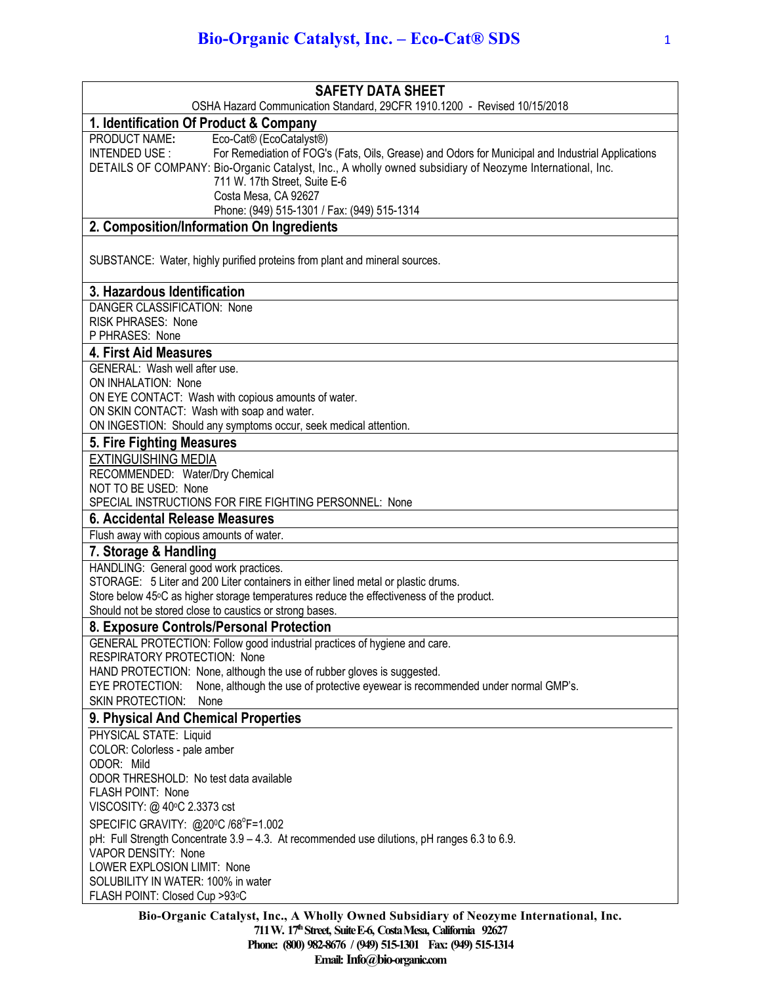| <b>SAFETY DATA SHEET</b>                                                                                                                                                                                      |
|---------------------------------------------------------------------------------------------------------------------------------------------------------------------------------------------------------------|
| OSHA Hazard Communication Standard, 29CFR 1910.1200 - Revised 10/15/2018                                                                                                                                      |
| 1. Identification Of Product & Company                                                                                                                                                                        |
| PRODUCT NAME:<br>Eco-Cat® (EcoCatalyst®)<br>INTENDED USE:                                                                                                                                                     |
| For Remediation of FOG's (Fats, Oils, Grease) and Odors for Municipal and Industrial Applications<br>DETAILS OF COMPANY: Bio-Organic Catalyst, Inc., A wholly owned subsidiary of Neozyme International, Inc. |
| 711 W. 17th Street, Suite E-6                                                                                                                                                                                 |
| Costa Mesa, CA 92627                                                                                                                                                                                          |
| Phone: (949) 515-1301 / Fax: (949) 515-1314                                                                                                                                                                   |
| 2. Composition/Information On Ingredients                                                                                                                                                                     |
|                                                                                                                                                                                                               |
| SUBSTANCE: Water, highly purified proteins from plant and mineral sources.                                                                                                                                    |
|                                                                                                                                                                                                               |
| 3. Hazardous Identification                                                                                                                                                                                   |
| DANGER CLASSIFICATION: None                                                                                                                                                                                   |
| <b>RISK PHRASES: None</b>                                                                                                                                                                                     |
| P PHRASES: None                                                                                                                                                                                               |
| <b>4. First Aid Measures</b>                                                                                                                                                                                  |
| GENERAL: Wash well after use.                                                                                                                                                                                 |
| ON INHALATION: None                                                                                                                                                                                           |
| ON EYE CONTACT: Wash with copious amounts of water.                                                                                                                                                           |
| ON SKIN CONTACT: Wash with soap and water.                                                                                                                                                                    |
| ON INGESTION: Should any symptoms occur, seek medical attention.                                                                                                                                              |
| 5. Fire Fighting Measures                                                                                                                                                                                     |
| <b>EXTINGUISHING MEDIA</b>                                                                                                                                                                                    |
| RECOMMENDED: Water/Dry Chemical                                                                                                                                                                               |
| NOT TO BE USED: None                                                                                                                                                                                          |
| SPECIAL INSTRUCTIONS FOR FIRE FIGHTING PERSONNEL: None                                                                                                                                                        |
| 6. Accidental Release Measures                                                                                                                                                                                |
| Flush away with copious amounts of water.                                                                                                                                                                     |
| 7. Storage & Handling                                                                                                                                                                                         |
| HANDLING: General good work practices.                                                                                                                                                                        |
| STORAGE: 5 Liter and 200 Liter containers in either lined metal or plastic drums.                                                                                                                             |
| Store below 45°C as higher storage temperatures reduce the effectiveness of the product.                                                                                                                      |
| Should not be stored close to caustics or strong bases.                                                                                                                                                       |
| 8. Exposure Controls/Personal Protection                                                                                                                                                                      |
| GENERAL PROTECTION: Follow good industrial practices of hygiene and care.<br><b>RESPIRATORY PROTECTION: None</b>                                                                                              |
| HAND PROTECTION: None, although the use of rubber gloves is suggested.                                                                                                                                        |
| None, although the use of protective eyewear is recommended under normal GMP's.<br>EYE PROTECTION:                                                                                                            |
| <b>SKIN PROTECTION:</b><br>None                                                                                                                                                                               |
| 9. Physical And Chemical Properties                                                                                                                                                                           |
| PHYSICAL STATE: Liquid                                                                                                                                                                                        |
| COLOR: Colorless - pale amber                                                                                                                                                                                 |
| ODOR: Mild                                                                                                                                                                                                    |
| ODOR THRESHOLD: No test data available                                                                                                                                                                        |
| FLASH POINT: None                                                                                                                                                                                             |
| VISCOSITY: @ 40°C 2.3373 cst                                                                                                                                                                                  |
| SPECIFIC GRAVITY: @20°C /68°F=1.002                                                                                                                                                                           |
| pH: Full Strength Concentrate 3.9 - 4.3. At recommended use dilutions, pH ranges 6.3 to 6.9.                                                                                                                  |
| VAPOR DENSITY: None                                                                                                                                                                                           |
| LOWER EXPLOSION LIMIT: None                                                                                                                                                                                   |
| SOLUBILITY IN WATER: 100% in water                                                                                                                                                                            |
| FLASH POINT: Closed Cup >93°C                                                                                                                                                                                 |
| Bio-Organic Catalyst, Inc., A Wholly Owned Subsidiary of Neozyme International, Inc.                                                                                                                          |

**711 W. 17thStreet, SuiteE-6, CostaMesa, California 92627 Phone: (800) 982-8676 / (949) 515-1301 Fax: (949) 515-1314** Email: Info@bio-organic.com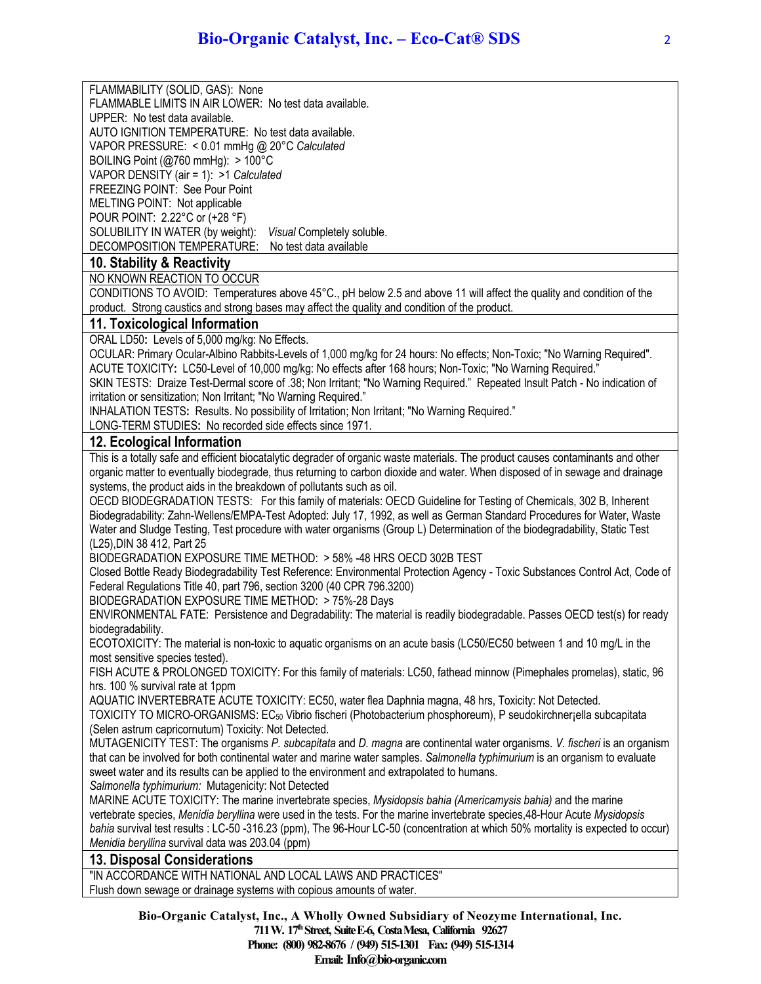FLAMMABILITY (SOLID, GAS): None FLAMMABLE LIMITS IN AIR LOWER: No test data available.

UPPER: No test data available.

AUTO IGNITION TEMPERATURE: No test data available.

VAPOR PRESSURE: < 0.01 mmHg @ 20°C *Calculated*

BOILING Point (@760 mmHg): > 100°C

VAPOR DENSITY (air = 1): >1 *Calculated*

FREEZING POINT: See Pour Point

MELTING POINT: Not applicable POUR POINT: 2.22°C or (+28 °F)

SOLUBILITY IN WATER (by weight): *Visual* Completely soluble.

DECOMPOSITION TEMPERATURE: No test data available

## **10. Stability & Reactivity**

NO KNOWN REACTION TO OCCUR

CONDITIONS TO AVOID: Temperatures above 45°C., pH below 2.5 and above 11 will affect the quality and condition of the product. Strong caustics and strong bases may affect the quality and condition of the product.

## **11. Toxicological Information**

ORAL LD50**:** Levels of 5,000 mg/kg: No Effects.

OCULAR: Primary Ocular-Albino Rabbits-Levels of 1,000 mg/kg for 24 hours: No effects; Non-Toxic; "No Warning Required". ACUTE TOXICITY**:** LC50-Level of 10,000 mg/kg: No effects after 168 hours; Non-Toxic; "No Warning Required."

SKIN TESTS: Draize Test-Dermal score of .38; Non Irritant; "No Warning Required." Repeated Insult Patch - No indication of irritation or sensitization; Non Irritant; "No Warning Required."

INHALATION TESTS**:** Results. No possibility of Irritation; Non Irritant; "No Warning Required."

LONG-TERM STUDIES**:** No recorded side effects since 1971.

## **12. Ecological Information**

This is a totally safe and efficient biocatalytic degrader of organic waste materials. The product causes contaminants and other organic matter to eventually biodegrade, thus returning to carbon dioxide and water. When disposed of in sewage and drainage systems, the product aids in the breakdown of pollutants such as oil.

OECD BIODEGRADATION TESTS: For this family of materials: OECD Guideline for Testing of Chemicals, 302 B, Inherent Biodegradability: Zahn-Wellens/EMPA-Test Adopted: July 17, 1992, as well as German Standard Procedures for Water, Waste Water and Sludge Testing, Test procedure with water organisms (Group L) Determination of the biodegradability, Static Test (L25),DIN 38 412, Part 25

BIODEGRADATION EXPOSURE TIME METHOD: > 58% -48 HRS OECD 302B TEST

Closed Bottle Ready Biodegradability Test Reference: Environmental Protection Agency - Toxic Substances Control Act, Code of Federal Regulations Title 40, part 796, section 3200 (40 CPR 796.3200)

BIODEGRADATION EXPOSURE TIME METHOD: > 75%-28 Days

ENVIRONMENTAL FATE: Persistence and Degradability: The material is readily biodegradable. Passes OECD test(s) for ready biodegradability.

ECOTOXICITY: The material is non-toxic to aquatic organisms on an acute basis (LC50/EC50 between 1 and 10 mg/L in the most sensitive species tested).

FISH ACUTE & PROLONGED TOXICITY: For this family of materials: LC50, fathead minnow (Pimephales promelas), static, 96 hrs. 100 % survival rate at 1ppm

AQUATIC INVERTEBRATE ACUTE TOXICITY: EC50, water flea Daphnia magna, 48 hrs, Toxicity: Not Detected.

TOXICITY TO MICRO-ORGANISMS: EC50 Vibrio fischeri (Photobacterium phosphoreum), P seudokirchner¡ella subcapitata (Selen astrum capricornutum) Toxicity: Not Detected.

MUTAGENICITY TEST: The organisms *P. subcapitata* and *D. magna* are continental water organisms. *V. fischeri* is an organism that can be involved for both continental water and marine water samples. *Salmonella typhimurium* is an organism to evaluate sweet water and its results can be applied to the environment and extrapolated to humans.

*Salmonella typhimurium:* Mutagenicity: Not Detected

MARINE ACUTE TOXICITY: The marine invertebrate species, *Mysidopsis bahia (Americamysis bahia)* and the marine vertebrate species, *Menidia beryllina* were used in the tests. For the marine invertebrate species,48-Hour Acute *Mysidopsis bahia* survival test results : LC-50 -316.23 (ppm), The 96-Hour LC-50 (concentration at which 50% mortality is expected to occur) *Menidia beryllina* survival data was 203.04 (ppm)

## **13. Disposal Considerations**

"IN ACCORDANCE WITH NATIONAL AND LOCAL LAWS AND PRACTICES" Flush down sewage or drainage systems with copious amounts of water.

> **Bio-Organic Catalyst, Inc., A Wholly Owned Subsidiary of Neozyme International, Inc. 711 W. 17thStreet, SuiteE-6, CostaMesa, California 92627 Phone: (800) 982-8676 / (949) 515-1301 Fax: (949) 515-1314 Email:** Info@bio-organic.com